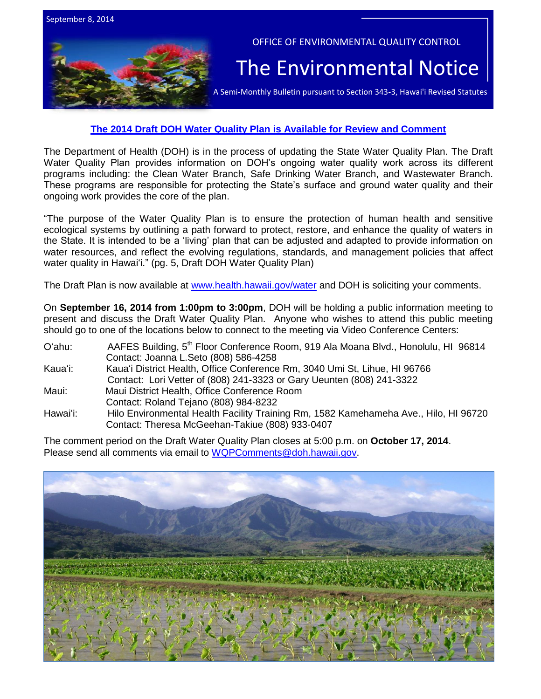

# **[The 2014 Draft DOH Water Quality Plan is Available for Review and Comment](http://health.hawaii.gov/water/files/2014/09/2014-DOH-DRAFT-Water-Quality-Plan.pdf)**

The Department of Health (DOH) is in the process of updating the State Water Quality Plan. The Draft Water Quality Plan provides information on DOH's ongoing water quality work across its different programs including: the Clean Water Branch, Safe Drinking Water Branch, and Wastewater Branch. These programs are responsible for protecting the State's surface and ground water quality and their ongoing work provides the core of the plan.

"The purpose of the Water Quality Plan is to ensure the protection of human health and sensitive ecological systems by outlining a path forward to protect, restore, and enhance the quality of waters in the State. It is intended to be a 'living' plan that can be adjusted and adapted to provide information on water resources, and reflect the evolving regulations, standards, and management policies that affect water quality in Hawai'i." (pg. 5, Draft DOH Water Quality Plan)

The Draft Plan is now available at [www.health.hawaii.gov/water](http://www.health.hawaii.gov/water) and DOH is soliciting your comments.

On **September 16, 2014 from 1:00pm to 3:00pm**, DOH will be holding a public information meeting to present and discuss the Draft Water Quality Plan. Anyone who wishes to attend this public meeting should go to one of the locations below to connect to the meeting via Video Conference Centers:

| O'ahu:   | AAFES Building, 5 <sup>th</sup> Floor Conference Room, 919 Ala Moana Blvd., Honolulu, HI 96814 |
|----------|------------------------------------------------------------------------------------------------|
|          | Contact: Joanna L.Seto (808) 586-4258                                                          |
| Kauaʻi:  | Kaua'i District Health, Office Conference Rm, 3040 Umi St, Lihue, HI 96766                     |
|          | Contact: Lori Vetter of (808) 241-3323 or Gary Ueunten (808) 241-3322                          |
| Maui:    | Maui District Health, Office Conference Room                                                   |
|          | Contact: Roland Tejano (808) 984-8232                                                          |
| Hawaiʻi: | Hilo Environmental Health Facility Training Rm, 1582 Kamehameha Ave., Hilo, HI 96720           |
|          | Contact: Theresa McGeehan-Takiue (808) 933-0407                                                |

The comment period on the Draft Water Quality Plan closes at 5:00 p.m. on **October 17, 2014**. Please send all comments via email to [WQPComments@doh.hawaii.gov.](mailto:WQPComments@doh.hawaii.gov)

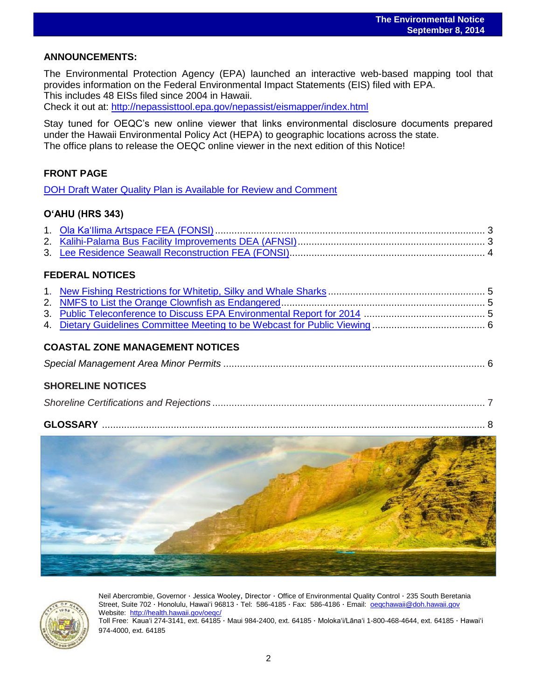# **ANNOUNCEMENTS:**

The Environmental Protection Agency (EPA) launched an interactive web-based mapping tool that provides information on the Federal Environmental Impact Statements (EIS) filed with EPA. This includes 48 EISs filed since 2004 in Hawaii.

Check it out at: <http://nepassisttool.epa.gov/nepassist/eismapper/index.html>

Stay tuned for OEQC's new online viewer that links environmental disclosure documents prepared under the Hawaii Environmental Policy Act (HEPA) to geographic locations across the state. The office plans to release the OEQC online viewer in the next edition of this Notice!

# **FRONT PAGE**

[DOH Draft Water Quality Plan is Available for Review and Comment](http://health.hawaii.gov/water/files/2014/09/2014-DOH-DRAFT-Water-Quality-Plan.pdf)

# **O'AHU (HRS 343)**

# **FEDERAL NOTICES**

# **COASTAL ZONE MANAGEMENT NOTICES**

|--|--|

# **SHORELINE NOTICES**

|--|

## **GLOSSARY** ........................................................................................................................................... 8





Neil Abercrombie, Governor · Jessica Wooley, Director · Office of Environmental Quality Control · 235 South Beretania Street, Suite 702 · Honolulu, Hawaiʻi 96813 ∙ Tel: 586-4185 · Fax: 586-4186 · Email: [oeqchawaii@doh.hawaii.gov](mailto:oeqchawaii@doh.hawaii.gov)  Website:<http://health.hawaii.gov/oeqc/> Toll Free: Kauaʻi 274-3141, ext. 64185 · Maui 984-2400, ext. 64185 · Molokaʻi/Lānaʻi 1-800-468-4644, ext. 64185 · Hawaiʻi 974-4000, ext. 64185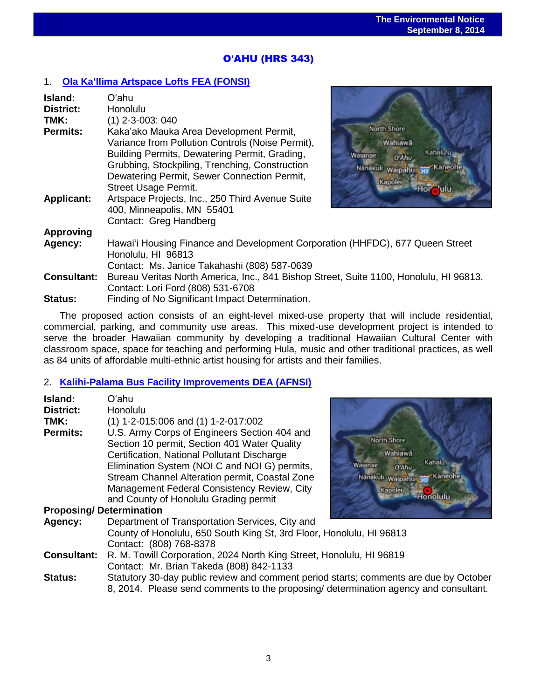# O**'**AHU (HRS 343)

# 1. **[Ola Ka'Ilima Artspace Lofts](http://oeqc.doh.hawaii.gov/Shared%20Documents/EA_and_EIS_Online_Library/Oahu/2010s/2014-09-08-OA-5E-FEA-Ola-Ka-Lima-Artspace-Lofts.pdf) FEA (FONSI)**

| Island:            | Oʻahu                                                                                               |                              |  |  |
|--------------------|-----------------------------------------------------------------------------------------------------|------------------------------|--|--|
| <b>District:</b>   | Honolulu                                                                                            |                              |  |  |
| TMK:               | $(1)$ 2-3-003: 040                                                                                  |                              |  |  |
| <b>Permits:</b>    | Kaka'ako Mauka Area Development Permit,                                                             | North Shore                  |  |  |
|                    | Variance from Pollution Controls (Noise Permit),                                                    | Wahiawa                      |  |  |
|                    | Building Permits, Dewatering Permit, Grading,                                                       | Kahalu'u<br>Waianae<br>0 Ahu |  |  |
|                    | Grubbing, Stockpiling, Trenching, Construction                                                      | Kaneohe<br>Nanakuli Waipahur |  |  |
|                    | Dewatering Permit, Sewer Connection Permit,                                                         | Kapoler                      |  |  |
|                    | <b>Street Usage Permit.</b>                                                                         |                              |  |  |
| <b>Applicant:</b>  | Artspace Projects, Inc., 250 Third Avenue Suite<br>400, Minneapolis, MN 55401                       |                              |  |  |
|                    | Contact: Greg Handberg                                                                              |                              |  |  |
| <b>Approving</b>   |                                                                                                     |                              |  |  |
| Agency:            | Hawai'i Housing Finance and Development Corporation (HHFDC), 677 Queen Street<br>Honolulu, HI 96813 |                              |  |  |
|                    | Contact: Ms. Janice Takahashi (808) 587-0639                                                        |                              |  |  |
| <b>Consultant:</b> | Bureau Veritas North America, Inc., 841 Bishop Street, Suite 1100, Honolulu, HI 96813.              |                              |  |  |
|                    | Contact: Lori Ford (808) 531-6708                                                                   |                              |  |  |
| Status:            | Finding of No Significant Impact Determination.                                                     |                              |  |  |

The proposed action consists of an eight-level mixed-use property that will include residential, commercial, parking, and community use areas. This mixed-use development project is intended to serve the broader Hawaiian community by developing a traditional Hawaiian Cultural Center with classroom space, space for teaching and performing Hula, music and other traditional practices, as well as 84 units of affordable multi-ethnic artist housing for artists and their families.

## 2. **[Kalihi-Palama Bus Facility Improvements](http://oeqc.doh.hawaii.gov/Shared%20Documents/EA_and_EIS_Online_Library/Oahu/2010s/2014-09-08-OA-5E-DEA-FONSI-Kalihi-Palama-Bus-Facility-Improvements.pdf) DEA (AFNSI)**

| Island:          | Oʻahu                                                                                                                                                                                                                                    |
|------------------|------------------------------------------------------------------------------------------------------------------------------------------------------------------------------------------------------------------------------------------|
| <b>District:</b> | Honolulu                                                                                                                                                                                                                                 |
| TMK:             | $(1)$ 1-2-015:006 and $(1)$ 1-2-017:002                                                                                                                                                                                                  |
| <b>Permits:</b>  | U.S. Army Corps of Engineers Section 404 and<br>North Shore<br>Section 10 permit, Section 401 Water Quality<br>Wahiaw<br>Certification, National Pollutant Discharge<br>Elimination System (NOI C and NOI G) permits,<br>Walanae<br>O'Ah |
|                  | Stream Channel Alteration permit, Coastal Zone<br>Nänäkuli Waipa<br>Management Federal Consistency Review, City<br>Kapolei<br>and County of Honolulu Grading permit                                                                      |
|                  | <b>Proposing/Determination</b>                                                                                                                                                                                                           |
| Agency:          | Department of Transportation Services, City and<br>County of Honolulu, 650 South King St, 3rd Floor, Honolulu, HI 96813<br>Contact: (808) 768-8378                                                                                       |



**Consultant:** R. M. Towill Corporation, 2024 North King Street, Honolulu, HI 96819 Contact: Mr. Brian Takeda (808) 842-1133

**Status:** Statutory 30-day public review and comment period starts; comments are due by October 8, 2014. Please send comments to the proposing/ determination agency and consultant.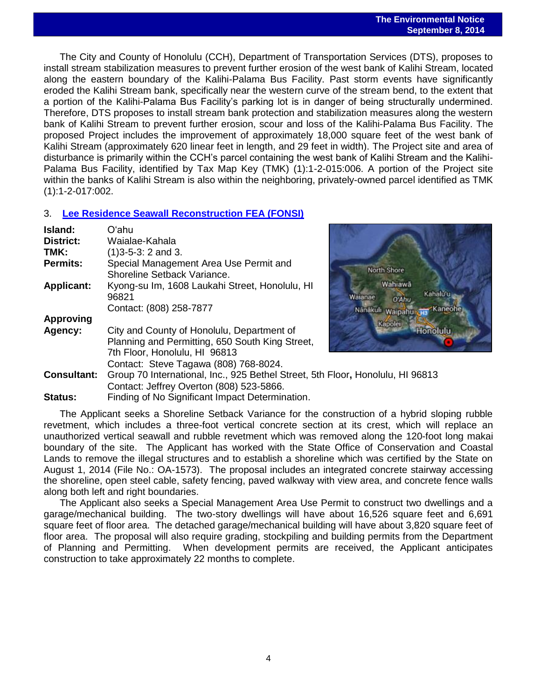The City and County of Honolulu (CCH), Department of Transportation Services (DTS), proposes to install stream stabilization measures to prevent further erosion of the west bank of Kalihi Stream, located along the eastern boundary of the Kalihi-Palama Bus Facility. Past storm events have significantly eroded the Kalihi Stream bank, specifically near the western curve of the stream bend, to the extent that a portion of the Kalihi-Palama Bus Facility's parking lot is in danger of being structurally undermined. Therefore, DTS proposes to install stream bank protection and stabilization measures along the western bank of Kalihi Stream to prevent further erosion, scour and loss of the Kalihi-Palama Bus Facility. The proposed Project includes the improvement of approximately 18,000 square feet of the west bank of Kalihi Stream (approximately 620 linear feet in length, and 29 feet in width). The Project site and area of disturbance is primarily within the CCH's parcel containing the west bank of Kalihi Stream and the Kalihi-Palama Bus Facility, identified by Tax Map Key (TMK) (1):1-2-015:006. A portion of the Project site within the banks of Kalihi Stream is also within the neighboring, privately-owned parcel identified as TMK (1):1-2-017:002.

# 3. **[Lee Residence Seawall Reconstruction FEA \(FONSI\)](http://oeqc.doh.hawaii.gov/Shared%20Documents/EA_and_EIS_Online_Library/Oahu/2010s/2014-09-08-OA-5E-FEA-Lee-Residence-and-Seawall-Reconstruction.pdf)**

| Island:<br><b>District:</b><br>TMK:<br><b>Permits:</b> | Oʻabu<br>Waialae-Kahala<br>$(1)3 - 5 - 3$ : 2 and 3.<br>Special Management Area Use Permit and<br>Shoreline Setback Variance.                                                 | North Shore                                                    |
|--------------------------------------------------------|-------------------------------------------------------------------------------------------------------------------------------------------------------------------------------|----------------------------------------------------------------|
| <b>Applicant:</b>                                      | Kyong-su Im, 1608 Laukahi Street, Honolulu, HI<br>96821<br>Contact: (808) 258-7877                                                                                            | Wahiawā<br>Kaha<br>Walanae<br>O'Ahu<br>Nanakuli Waipahu<br>'Ka |
| <b>Approving</b><br>Agency:                            | City and County of Honolulu, Department of<br>Planning and Permitting, 650 South King Street,<br>7th Floor, Honolulu, HI 96813<br>Contact: Steve Tagawa (808) 768-8024.       | Kapolei                                                        |
| <b>Consultant:</b><br><b>Status:</b>                   | Group 70 International, Inc., 925 Bethel Street, 5th Floor, Honolulu, HI 96813<br>Contact: Jeffrey Overton (808) 523-5866.<br>Finding of No Significant Impact Determination. |                                                                |

The Applicant seeks a Shoreline Setback Variance for the construction of a hybrid sloping rubble revetment, which includes a three-foot vertical concrete section at its crest, which will replace an unauthorized vertical seawall and rubble revetment which was removed along the 120-foot long makai boundary of the site. The Applicant has worked with the State Office of Conservation and Coastal Lands to remove the illegal structures and to establish a shoreline which was certified by the State on August 1, 2014 (File No.: OA-1573). The proposal includes an integrated concrete stairway accessing the shoreline, open steel cable, safety fencing, paved walkway with view area, and concrete fence walls along both left and right boundaries.

The Applicant also seeks a Special Management Area Use Permit to construct two dwellings and a garage/mechanical building. The two-story dwellings will have about 16,526 square feet and 6,691 square feet of floor area. The detached garage/mechanical building will have about 3,820 square feet of floor area. The proposal will also require grading, stockpiling and building permits from the Department of Planning and Permitting. When development permits are received, the Applicant anticipates construction to take approximately 22 months to complete.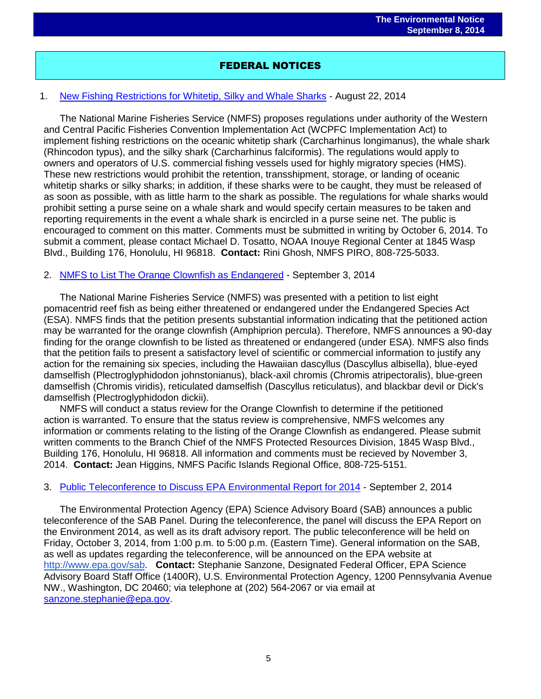# FEDERAL NOTICES

# 1. [New Fishing Restrictions for Whitetip, Silky and Whale Sharks](http://www.gpo.gov/fdsys/pkg/FR-2014-08-22/pdf/2014-19962.pdf) - August 22, 2014

The National Marine Fisheries Service (NMFS) proposes regulations under authority of the Western and Central Pacific Fisheries Convention Implementation Act (WCPFC Implementation Act) to implement fishing restrictions on the oceanic whitetip shark (Carcharhinus longimanus), the whale shark (Rhincodon typus), and the silky shark (Carcharhinus falciformis). The regulations would apply to owners and operators of U.S. commercial fishing vessels used for highly migratory species (HMS). These new restrictions would prohibit the retention, transshipment, storage, or landing of oceanic whitetip sharks or silky sharks; in addition, if these sharks were to be caught, they must be released of as soon as possible, with as little harm to the shark as possible. The regulations for whale sharks would prohibit setting a purse seine on a whale shark and would specify certain measures to be taken and reporting requirements in the event a whale shark is encircled in a purse seine net. The public is encouraged to comment on this matter. Comments must be submitted in writing by October 6, 2014. To submit a comment, please contact Michael D. Tosatto, NOAA Inouye Regional Center at 1845 Wasp Blvd., Building 176, Honolulu, HI 96818. **Contact:** Rini Ghosh, NMFS PIRO, 808-725-5033.

## 2. [NMFS to List The Orange Clownfish as Endangered](http://www.gpo.gov/fdsys/pkg/FR-2014-09-03/pdf/2014-20955.pdf) - September 3, 2014

The National Marine Fisheries Service (NMFS) was presented with a petition to list eight pomacentrid reef fish as being either threatened or endangered under the Endangered Species Act (ESA). NMFS finds that the petition presents substantial information indicating that the petitioned action may be warranted for the orange clownfish (Amphiprion percula). Therefore, NMFS announces a 90-day finding for the orange clownfish to be listed as threatened or endangered (under ESA). NMFS also finds that the petition fails to present a satisfactory level of scientific or commercial information to justify any action for the remaining six species, including the Hawaiian dascyllus (Dascyllus albisella), blue-eyed damselfish (Plectroglyphidodon johnstonianus), black-axil chromis (Chromis atripectoralis), blue-green damselfish (Chromis viridis), reticulated damselfish (Dascyllus reticulatus), and blackbar devil or Dick's damselfish (Plectroglyphidodon dickii).

NMFS will conduct a status review for the Orange Clownfish to determine if the petitioned action is warranted. To ensure that the status review is comprehensive, NMFS welcomes any information or comments relating to the listing of the Orange Clownfish as endangered. Please submit written comments to the Branch Chief of the NMFS Protected Resources Division, 1845 Wasp Blvd., Building 176, Honolulu, HI 96818. All information and comments must be recieved by November 3, 2014. **Contact:** Jean Higgins, NMFS Pacific Islands Regional Office, 808-725-5151.

## 3. [Public Teleconference to Discuss EPA Environmental Report for 2014](http://www.gpo.gov/fdsys/pkg/FR-2014-09-02/pdf/2014-20786.pdf) - September 2, 2014

The Environmental Protection Agency (EPA) Science Advisory Board (SAB) announces a public teleconference of the SAB Panel. During the teleconference, the panel will discuss the EPA Report on the Environment 2014, as well as its draft advisory report. The public teleconference will be held on Friday, October 3, 2014, from 1:00 p.m. to 5:00 p.m. (Eastern Time). General information on the SAB, as well as updates regarding the teleconference, will be announced on the EPA website at [http://www.epa.gov/sab.](http://www.epa.gov/sab) **Contact:** Stephanie Sanzone, Designated Federal Officer, EPA Science Advisory Board Staff Office (1400R), U.S. Environmental Protection Agency, 1200 Pennsylvania Avenue NW., Washington, DC 20460; via telephone at (202) 564-2067 or via email at [sanzone.stephanie@epa.gov.](mailto:sanzone.stephanie@epa.gov)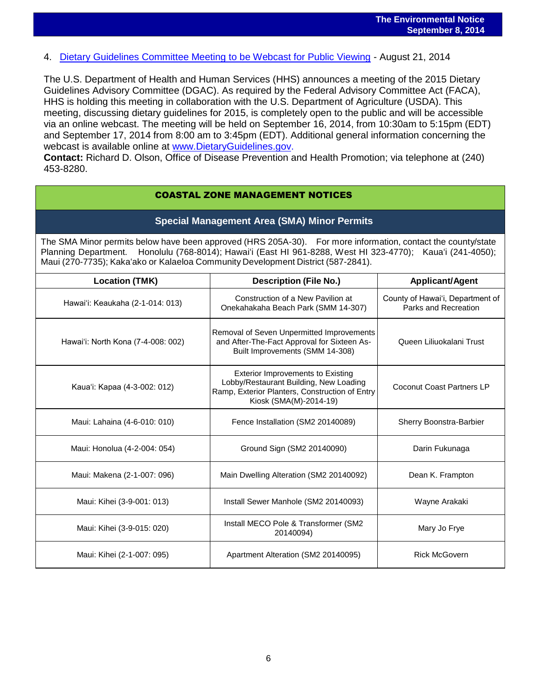4. [Dietary Guidelines Committee Meeting to be Webcast for Public Viewing](http://www.gpo.gov/fdsys/pkg/FR-2014-08-21/pdf/2014-19879.pdf) - August 21, 2014

The U.S. Department of Health and Human Services (HHS) announces a meeting of the 2015 Dietary Guidelines Advisory Committee (DGAC). As required by the Federal Advisory Committee Act (FACA), HHS is holding this meeting in collaboration with the U.S. Department of Agriculture (USDA). This meeting, discussing dietary guidelines for 2015, is completely open to the public and will be accessible via an online webcast. The meeting will be held on September 16, 2014, from 10:30am to 5:15pm (EDT) and September 17, 2014 from 8:00 am to 3:45pm (EDT). Additional general information concerning the webcast is available online at [www.DietaryGuidelines.gov.](http://www.dietaryguidelines.gov/)

**Contact:** Richard D. Olson, Office of Disease Prevention and Health Promotion; via telephone at (240) 453-8280.

## COASTAL ZONE MANAGEMENT NOTICES

## **Special Management Area (SMA) Minor Permits**

The SMA Minor permits below have been approved (HRS 205A-30). For more information, contact the county/state Planning Department. Honolulu (768-8014); Hawaiʻi (East HI 961-8288, West HI 323-4770); Kauaʻi (241-4050); Maui (270-7735); Kakaʻako or Kalaeloa Community Development District (587-2841).

| <b>Location (TMK)</b>              | <b>Description (File No.)</b>                                                                                                                                  | <b>Applicant/Agent</b>                                   |  |
|------------------------------------|----------------------------------------------------------------------------------------------------------------------------------------------------------------|----------------------------------------------------------|--|
| Hawai'i: Keaukaha (2-1-014: 013)   | Construction of a New Pavilion at<br>Onekahakaha Beach Park (SMM 14-307)                                                                                       | County of Hawai'i, Department of<br>Parks and Recreation |  |
| Hawai'i: North Kona (7-4-008: 002) | Removal of Seven Unpermitted Improvements<br>and After-The-Fact Approval for Sixteen As-<br>Built Improvements (SMM 14-308)                                    | Queen Liliuokalani Trust                                 |  |
| Kaua'i: Kapaa (4-3-002: 012)       | <b>Exterior Improvements to Existing</b><br>Lobby/Restaurant Building, New Loading<br>Ramp, Exterior Planters, Construction of Entry<br>Kiosk (SMA(M)-2014-19) | Coconut Coast Partners LP                                |  |
| Maui: Lahaina (4-6-010: 010)       | Fence Installation (SM2 20140089)                                                                                                                              | Sherry Boonstra-Barbier                                  |  |
| Maui: Honolua (4-2-004: 054)       | Ground Sign (SM2 20140090)                                                                                                                                     | Darin Fukunaga                                           |  |
| Maui: Makena (2-1-007: 096)        | Main Dwelling Alteration (SM2 20140092)                                                                                                                        | Dean K. Frampton                                         |  |
| Maui: Kihei (3-9-001: 013)         | Install Sewer Manhole (SM2 20140093)                                                                                                                           | Wayne Arakaki                                            |  |
| Maui: Kihei (3-9-015: 020)         | Install MECO Pole & Transformer (SM2<br>20140094)                                                                                                              | Mary Jo Frye                                             |  |
| Maui: Kihei (2-1-007: 095)         | Apartment Alteration (SM2 20140095)                                                                                                                            | <b>Rick McGovern</b>                                     |  |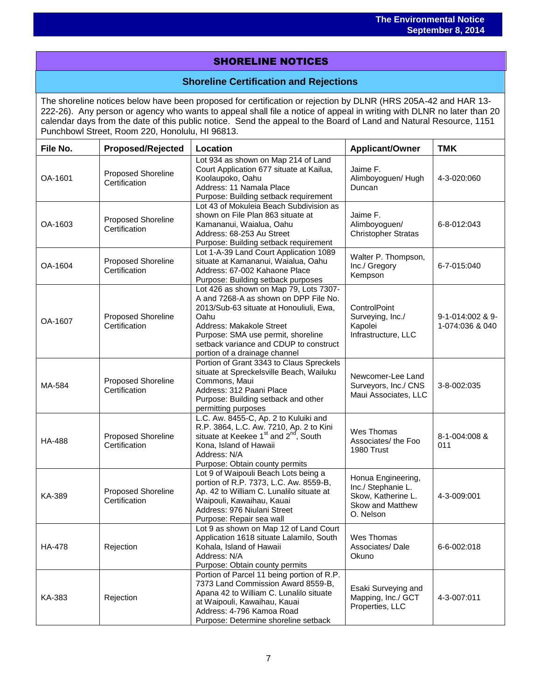# SHORELINE NOTICES

# **Shoreline Certification and Rejections**

The shoreline notices below have been proposed for certification or rejection by DLNR (HRS 205A-42 and HAR 13- 222-26). Any person or agency who wants to appeal shall file a notice of appeal in writing with DLNR no later than 20 calendar days from the date of this public notice. Send the appeal to the Board of Land and Natural Resource, 1151 Punchbowl Street, Room 220, Honolulu, HI 96813.

| File No.      | <b>Proposed/Rejected</b>                   | Location                                                                                                                                                                                                                                                                        | <b>Applicant/Owner</b>                                                                          | <b>TMK</b>                          |
|---------------|--------------------------------------------|---------------------------------------------------------------------------------------------------------------------------------------------------------------------------------------------------------------------------------------------------------------------------------|-------------------------------------------------------------------------------------------------|-------------------------------------|
| OA-1601       | Proposed Shoreline<br>Certification        | Lot 934 as shown on Map 214 of Land<br>Court Application 677 situate at Kailua,<br>Koolaupoko, Oahu<br>Address: 11 Namala Place<br>Purpose: Building setback requirement                                                                                                        | Jaime F.<br>Alimboyoguen/ Hugh<br>Duncan                                                        | 4-3-020:060                         |
| OA-1603       | Proposed Shoreline<br>Certification        | Lot 43 of Mokuleia Beach Subdivision as<br>shown on File Plan 863 situate at<br>Kamananui, Waialua, Oahu<br>Address: 68-253 Au Street<br>Purpose: Building setback requirement                                                                                                  | Jaime F.<br>Alimboyoguen/<br><b>Christopher Stratas</b>                                         | 6-8-012:043                         |
| OA-1604       | <b>Proposed Shoreline</b><br>Certification | Lot 1-A-39 Land Court Application 1089<br>situate at Kamananui, Waialua, Oahu<br>Address: 67-002 Kahaone Place<br>Purpose: Building setback purposes                                                                                                                            | Walter P. Thompson,<br>Inc./ Gregory<br>Kempson                                                 | 6-7-015:040                         |
| OA-1607       | <b>Proposed Shoreline</b><br>Certification | Lot 426 as shown on Map 79, Lots 7307-<br>A and 7268-A as shown on DPP File No.<br>2013/Sub-63 situate at Honouliuli, Ewa,<br>Oahu<br>Address: Makakole Street<br>Purpose: SMA use permit, shoreline<br>setback variance and CDUP to construct<br>portion of a drainage channel | ControlPoint<br>Surveying, Inc./<br>Kapolei<br>Infrastructure, LLC                              | 9-1-014:002 & 9-<br>1-074:036 & 040 |
| MA-584        | <b>Proposed Shoreline</b><br>Certification | Portion of Grant 3343 to Claus Spreckels<br>situate at Spreckelsville Beach, Wailuku<br>Commons, Maui<br>Address: 312 Paani Place<br>Purpose: Building setback and other<br>permitting purposes                                                                                 | Newcomer-Lee Land<br>Surveyors, Inc./ CNS<br>Maui Associates, LLC                               | 3-8-002:035                         |
| <b>HA-488</b> | <b>Proposed Shoreline</b><br>Certification | L.C. Aw. 8455-C, Ap. 2 to Kuluiki and<br>R.P. 3864, L.C. Aw. 7210, Ap. 2 to Kini situate at Keekee 1 <sup>st</sup> and 2 <sup>nd</sup> , South<br>Kona, Island of Hawaii<br>Address: N/A<br>Purpose: Obtain county permits                                                      | Wes Thomas<br>Associates/ the Foo<br>1980 Trust                                                 | 8-1-004:008 &<br>011                |
| KA-389        | <b>Proposed Shoreline</b><br>Certification | Lot 9 of Waipouli Beach Lots being a<br>portion of R.P. 7373, L.C. Aw. 8559-B,<br>Ap. 42 to William C. Lunalilo situate at<br>Waipouli, Kawaihau, Kauai<br>Address: 976 Niulani Street<br>Purpose: Repair sea wall                                                              | Honua Engineering,<br>Inc./ Stephanie L.<br>Skow, Katherine L.<br>Skow and Matthew<br>O. Nelson | 4-3-009:001                         |
| HA-478        | Rejection                                  | Lot 9 as shown on Map 12 of Land Court<br>Application 1618 situate Lalamilo, South<br>Kohala, Island of Hawaii<br>Address: N/A<br>Purpose: Obtain county permits                                                                                                                | Wes Thomas<br>Associates/Dale<br>Okuno                                                          | 6-6-002:018                         |
| KA-383        | Rejection                                  | Portion of Parcel 11 being portion of R.P.<br>7373 Land Commission Award 8559-B,<br>Apana 42 to William C. Lunalilo situate<br>at Waipouli, Kawaihau, Kauai<br>Address: 4-796 Kamoa Road<br>Purpose: Determine shoreline setback                                                | Esaki Surveying and<br>Mapping, Inc./ GCT<br>Properties, LLC                                    | 4-3-007:011                         |